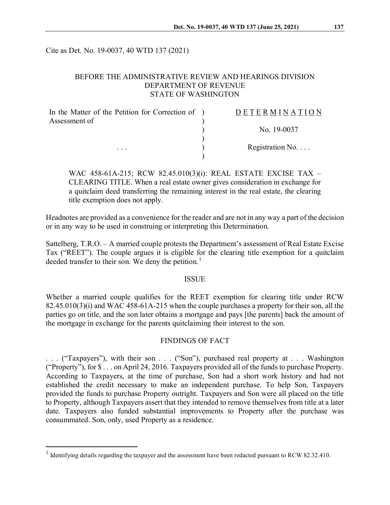Cite as Det. No. 19-0037, 40 WTD 137 (2021)

# BEFORE THE ADMINISTRATIVE REVIEW AND HEARINGS DIVISION DEPARTMENT OF REVENUE STATE OF WASHINGTON

| In the Matter of the Petition for Correction of ) | <b>DETERMINATION</b>     |
|---------------------------------------------------|--------------------------|
| Assessment of                                     |                          |
|                                                   | No. 19-0037              |
| $\cdots$                                          | Registration No. $\dots$ |
|                                                   |                          |

WAC 458-61A-215; RCW 82.45.010(3)(i): REAL ESTATE EXCISE TAX – CLEARING TITLE. When a real estate owner gives consideration in exchange for a quitclaim deed transferring the remaining interest in the real estate, the clearing title exemption does not apply.

Headnotes are provided as a convenience for the reader and are not in any way a part of the decision or in any way to be used in construing or interpreting this Determination.

Sattelberg, T.R.O. – A married couple protests the Department's assessment of Real Estate Excise Tax ("REET"). The couple argues it is eligible for the clearing title exemption for a quitclaim deeded transfer to their son. We deny the petition.<sup>[1](#page-0-0)</sup>

#### **ISSUE**

Whether a married couple qualifies for the REET exemption for clearing title under RCW 82.45.010(3)(i) and WAC 458-61A-215 when the couple purchases a property for their son, all the parties go on title, and the son later obtains a mortgage and pays [the parents] back the amount of the mortgage in exchange for the parents quitclaiming their interest to the son.

## FINDINGS OF FACT

. . . ("Taxpayers"), with their son . . . ("Son"), purchased real property at . . . Washington ("Property"), for \$ . . . on April 24, 2016. Taxpayers provided all of the funds to purchase Property. According to Taxpayers, at the time of purchase, Son had a short work history and had not established the credit necessary to make an independent purchase. To help Son, Taxpayers provided the funds to purchase Property outright. Taxpayers and Son were all placed on the title to Property, although Taxpayers assert that they intended to remove themselves from title at a later date. Taxpayers also funded substantial improvements to Property after the purchase was consummated. Son, only, used Property as a residence.

<span id="page-0-0"></span><sup>&</sup>lt;sup>1</sup> Identifying details regarding the taxpayer and the assessment have been redacted pursuant to RCW 82.32.410.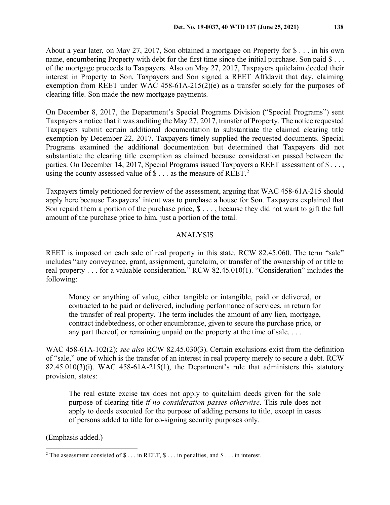About a year later, on May 27, 2017, Son obtained a mortgage on Property for \$ . . . in his own name, encumbering Property with debt for the first time since the initial purchase. Son paid \$ . . . of the mortgage proceeds to Taxpayers. Also on May 27, 2017, Taxpayers quitclaim deeded their interest in Property to Son. Taxpayers and Son signed a REET Affidavit that day, claiming exemption from REET under WAC 458-61A-215(2)(e) as a transfer solely for the purposes of clearing title. Son made the new mortgage payments.

On December 8, 2017, the Department's Special Programs Division ("Special Programs") sent Taxpayers a notice that it was auditing the May 27, 2017, transfer of Property. The notice requested Taxpayers submit certain additional documentation to substantiate the claimed clearing title exemption by December 22, 2017. Taxpayers timely supplied the requested documents. Special Programs examined the additional documentation but determined that Taxpayers did not substantiate the clearing title exemption as claimed because consideration passed between the parties. On December 14, 2017, Special Programs issued Taxpayers a REET assessment of \$..., using the county assessed value of  $\text{\$} \dots$  as the measure of REET.<sup>[2](#page-1-0)</sup>

Taxpayers timely petitioned for review of the assessment, arguing that WAC 458-61A-215 should apply here because Taxpayers' intent was to purchase a house for Son. Taxpayers explained that Son repaid them a portion of the purchase price,  $\$\dots$ , because they did not want to gift the full amount of the purchase price to him, just a portion of the total.

# ANALYSIS

REET is imposed on each sale of real property in this state. RCW 82.45.060. The term "sale" includes "any conveyance, grant, assignment, quitclaim, or transfer of the ownership of or title to real property . . . for a valuable consideration." RCW 82.45.010(1). "Consideration" includes the following:

Money or anything of value, either tangible or intangible, paid or delivered, or contracted to be paid or delivered, including performance of services, in return for the transfer of real property. The term includes the amount of any lien, mortgage, contract indebtedness, or other encumbrance, given to secure the purchase price, or any part thereof, or remaining unpaid on the property at the time of sale....

WAC 458-61A-102(2); *see also* RCW 82.45.030(3). Certain exclusions exist from the definition of "sale," one of which is the transfer of an interest in real property merely to secure a debt. RCW  $82.45.010(3)(i)$ . WAC  $458-61A-215(1)$ , the Department's rule that administers this statutory provision, states:

The real estate excise tax does not apply to quitclaim deeds given for the sole purpose of clearing title *if no consideration passes otherwise*. This rule does not apply to deeds executed for the purpose of adding persons to title, except in cases of persons added to title for co-signing security purposes only.

(Emphasis added.)

<span id="page-1-0"></span> $2$  The assessment consisted of  $\text{\$} \dots$  in REET,  $\text{\$} \dots$  in penalties, and  $\text{\$} \dots$  in interest.